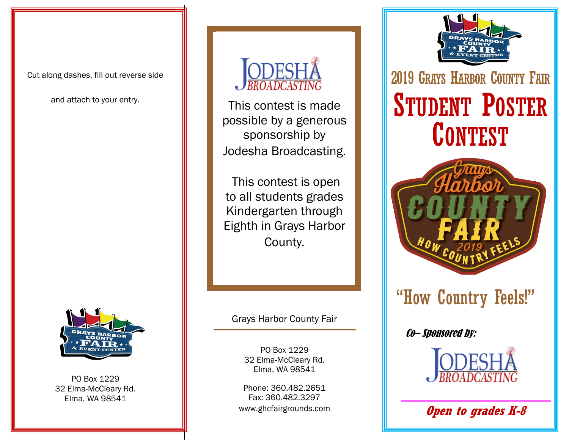Cut along dashes, fill out reverse side

and attach to your entry.



PO Box 1229 32 Elma-McCleary Rd. Elma, WA 98541



This contest is made possible by a generous sponsorship by Jodesha Broadcasting.

This contest is open to all students grades Kindergarten through Eighth in Grays Harbor County.

Grays Harbor County Fair

PO Box 1229 32 Elma-McCleary Rd. Elma, WA 98541

Phone: 360.482.2651 Fax: 360.482.3297 www.ghcfairgrounds.com



2019 GRAYS HARBOR COUNTY FAIR STUDENT POSTER **CONTEST** 



# "How Country Feels!"

Co– Sponsored by:



**Open to grades K-8**